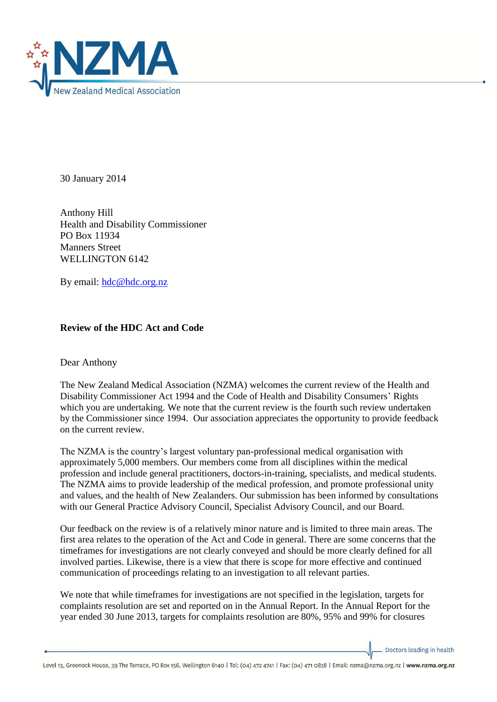

30 January 2014

Anthony Hill Health and Disability Commissioner PO Box 11934 Manners Street WELLINGTON 6142

By email: [hdc@hdc.org.nz](mailto:hdc@hdc.org.nz)

## **Review of the HDC Act and Code**

Dear Anthony

The New Zealand Medical Association (NZMA) welcomes the current review of the Health and Disability Commissioner Act 1994 and the Code of Health and Disability Consumers' Rights which you are undertaking. We note that the current review is the fourth such review undertaken by the Commissioner since 1994. Our association appreciates the opportunity to provide feedback on the current review.

The NZMA is the country's largest voluntary pan-professional medical organisation with approximately 5,000 members. Our members come from all disciplines within the medical profession and include general practitioners, doctors-in-training, specialists, and medical students. The NZMA aims to provide leadership of the medical profession, and promote professional unity and values, and the health of New Zealanders. Our submission has been informed by consultations with our General Practice Advisory Council, Specialist Advisory Council, and our Board.

Our feedback on the review is of a relatively minor nature and is limited to three main areas. The first area relates to the operation of the Act and Code in general. There are some concerns that the timeframes for investigations are not clearly conveyed and should be more clearly defined for all involved parties. Likewise, there is a view that there is scope for more effective and continued communication of proceedings relating to an investigation to all relevant parties.

We note that while timeframes for investigations are not specified in the legislation, targets for complaints resolution are set and reported on in the Annual Report. In the Annual Report for the year ended 30 June 2013, targets for complaints resolution are 80%, 95% and 99% for closures

Doctors leading in health